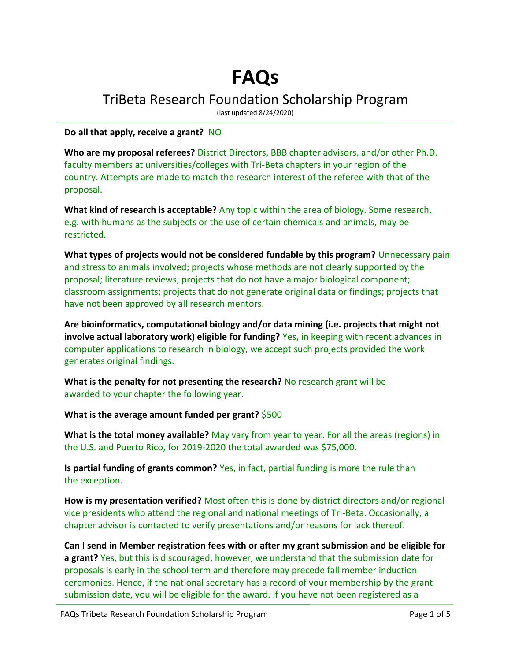## **FAQs**

TriBeta Research Foundation Scholarship Program

(last updated 8/24/2020)

## **Do all that apply, receive a grant?** NO

**Who are my proposal referees?** District Directors, BBB chapter advisors, and/or other Ph.D. faculty members at universities/colleges with Tri-Beta chapters in your region of the country. Attempts are made to match the research interest of the referee with that of the proposal.

**What kind of research is acceptable?** Any topic within the area of biology. Some research, e.g. with humans as the subjects or the use of certain chemicals and animals, may be restricted.

**What types of projects would not be considered fundable by this program?** Unnecessary pain and stress to animals involved; projects whose methods are not clearly supported by the proposal; literature reviews; projects that do not have a major biological component; classroom assignments; projects that do not generate original data or findings; projects that have not been approved by all research mentors.

**Are bioinformatics, computational biology and/or data mining (i.e. projects that might not involve actual laboratory work) eligible for funding?** Yes, in keeping with recent advances in computer applications to research in biology, we accept such projects provided the work generates original findings.

**What is the penalty for not presenting the research?** No research grant will be awarded to your chapter the following year.

**What is the average amount funded per grant?** \$500

**What is the total money available?** May vary from year to year. For all the areas (regions) in the U.S. and Puerto Rico, for 2019-2020 the total awarded was \$75,000.

**Is partial funding of grants common?** Yes, in fact, partial funding is more the rule than the exception.

**How is my presentation verified?** Most often this is done by district directors and/or regional vice presidents who attend the regional and national meetings of Tri-Beta. Occasionally, a chapter advisor is contacted to verify presentations and/or reasons for lack thereof.

**Can I send in Member registration fees with or after my grant submission and be eligible for a grant?** Yes, but this is discouraged, however, we understand that the submission date for proposals is early in the school term and therefore may precede fall member induction ceremonies. Hence, if the national secretary has a record of your membership by the grant submission date, you will be eligible for the award. If you have not been registered as a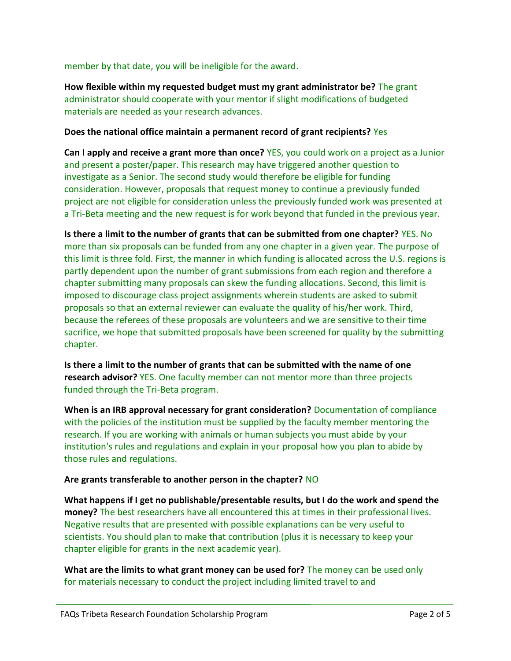member by that date, you will be ineligible for the award.

**How flexible within my requested budget must my grant administrator be?** The grant administrator should cooperate with your mentor if slight modifications of budgeted materials are needed as your research advances.

## **Does the national office maintain a permanent record of grant recipients?** Yes

**Can I apply and receive a grant more than once?** YES, you could work on a project as a Junior and present a poster/paper. This research may have triggered another question to investigate as a Senior. The second study would therefore be eligible for funding consideration. However, proposals that request money to continue a previously funded project are not eligible for consideration unless the previously funded work was presented at a Tri-Beta meeting and the new request is for work beyond that funded in the previous year.

**Is there a limit to the number of grants that can be submitted from one chapter?** YES. No more than six proposals can be funded from any one chapter in a given year. The purpose of this limit is three fold. First, the manner in which funding is allocated across the U.S. regions is partly dependent upon the number of grant submissions from each region and therefore a chapter submitting many proposals can skew the funding allocations. Second, this limit is imposed to discourage class project assignments wherein students are asked to submit proposals so that an external reviewer can evaluate the quality of his/her work. Third, because the referees of these proposals are volunteers and we are sensitive to their time sacrifice, we hope that submitted proposals have been screened for quality by the submitting chapter.

**Is there a limit to the number of grants that can be submitted with the name of one research advisor?** YES. One faculty member can not mentor more than three projects funded through the Tri-Beta program.

**When is an IRB approval necessary for grant consideration?** Documentation of compliance with the policies of the institution must be supplied by the faculty member mentoring the research. If you are working with animals or human subjects you must abide by your institution's rules and regulations and explain in your proposal how you plan to abide by those rules and regulations.

## **Are grants transferable to another person in the chapter?** NO

**What happens if I get no publishable/presentable results, but I do the work and spend the money?** The best researchers have all encountered this at times in their professional lives. Negative results that are presented with possible explanations can be very useful to scientists. You should plan to make that contribution (plus it is necessary to keep your chapter eligible for grants in the next academic year).

**What are the limits to what grant money can be used for?** The money can be used only for materials necessary to conduct the project including limited travel to and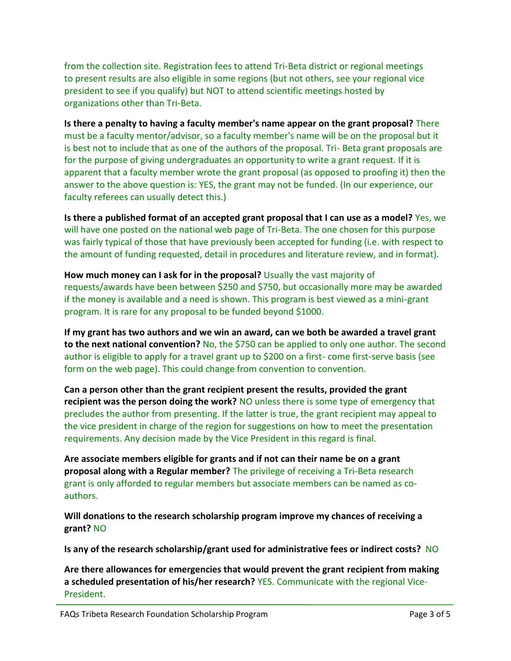from the collection site. Registration fees to attend Tri-Beta district or regional meetings to present results are also eligible in some regions (but not others, see your regional vice president to see if you qualify) but NOT to attend scientific meetings hosted by organizations other than Tri-Beta.

**Is there a penalty to having a faculty member's name appear on the grant proposal?** There must be a faculty mentor/advisor, so a faculty member's name will be on the proposal but it is best not to include that as one of the authors of the proposal. Tri- Beta grant proposals are for the purpose of giving undergraduates an opportunity to write a grant request. If it is apparent that a faculty member wrote the grant proposal (as opposed to proofing it) then the answer to the above question is: YES, the grant may not be funded. (In our experience, our faculty referees can usually detect this.)

**Is there a published format of an accepted grant proposal that I can use as a model?** Yes, we will have one posted on the national web page of Tri-Beta. The one chosen for this purpose was fairly typical of those that have previously been accepted for funding (i.e. with respect to the amount of funding requested, detail in procedures and literature review, and in format).

**How much money can I ask for in the proposal?** Usually the vast majority of requests/awards have been between \$250 and \$750, but occasionally more may be awarded if the money is available and a need is shown. This program is best viewed as a mini-grant program. It is rare for any proposal to be funded beyond \$1000.

**If my grant has two authors and we win an award, can we both be awarded a travel grant**  to the next national convention? No, the \$750 can be applied to only one author. The second author is eligible to apply for a travel grant up to \$200 on a first- come first-serve basis (see form on the web page). This could change from convention to convention.

**Can a person other than the grant recipient present the results, provided the grant recipient was the person doing the work?** NO unless there is some type of emergency that precludes the author from presenting. If the latter is true, the grant recipient may appeal to the vice president in charge of the region for suggestions on how to meet the presentation requirements. Any decision made by the Vice President in this regard is final.

**Are associate members eligible for grants and if not can their name be on a grant proposal along with a Regular member?** The privilege of receiving a Tri-Beta research grant is only afforded to regular members but associate members can be named as coauthors.

**Will donations to the research scholarship program improve my chances of receiving a grant?** NO

**Is any of the research scholarship/grant used for administrative fees or indirect costs?** NO

**Are there allowances for emergencies that would prevent the grant recipient from making a scheduled presentation of his/her research?** YES. Communicate with the regional Vice-President.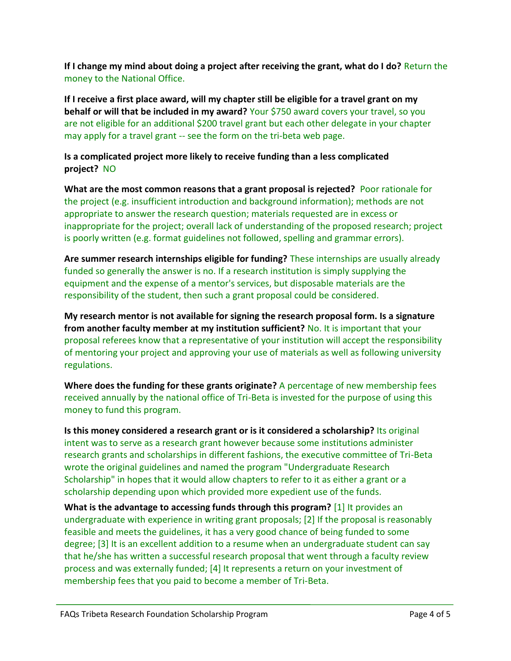**If I change my mind about doing a project after receiving the grant, what do I do?** Return the money to the National Office.

**If I receive a first place award, will my chapter still be eligible for a travel grant on my behalf or will that be included in my award?** Your \$750 award covers your travel, so you are not eligible for an additional \$200 travel grant but each other delegate in your chapter may apply for a travel grant -- see the form on the tri-beta web page.

**Is a complicated project more likely to receive funding than a less complicated project?** NO

**What are the most common reasons that a grant proposal is rejected?** Poor rationale for the project (e.g. insufficient introduction and background information); methods are not appropriate to answer the research question; materials requested are in excess or inappropriate for the project; overall lack of understanding of the proposed research; project is poorly written (e.g. format guidelines not followed, spelling and grammar errors).

**Are summer research internships eligible for funding?** These internships are usually already funded so generally the answer is no. If a research institution is simply supplying the equipment and the expense of a mentor's services, but disposable materials are the responsibility of the student, then such a grant proposal could be considered.

**My research mentor is not available for signing the research proposal form. Is a signature from another faculty member at my institution sufficient?** No. It is important that your proposal referees know that a representative of your institution will accept the responsibility of mentoring your project and approving your use of materials as well as following university regulations.

**Where does the funding for these grants originate?** A percentage of new membership fees received annually by the national office of Tri-Beta is invested for the purpose of using this money to fund this program.

**Is this money considered a research grant or is it considered a scholarship?** Its original intent was to serve as a research grant however because some institutions administer research grants and scholarships in different fashions, the executive committee of Tri-Beta wrote the original guidelines and named the program "Undergraduate Research Scholarship" in hopes that it would allow chapters to refer to it as either a grant or a scholarship depending upon which provided more expedient use of the funds.

**What is the advantage to accessing funds through this program?** [1] It provides an undergraduate with experience in writing grant proposals; [2] If the proposal is reasonably feasible and meets the guidelines, it has a very good chance of being funded to some degree; [3] It is an excellent addition to a resume when an undergraduate student can say that he/she has written a successful research proposal that went through a faculty review process and was externally funded; [4] It represents a return on your investment of membership fees that you paid to become a member of Tri-Beta.